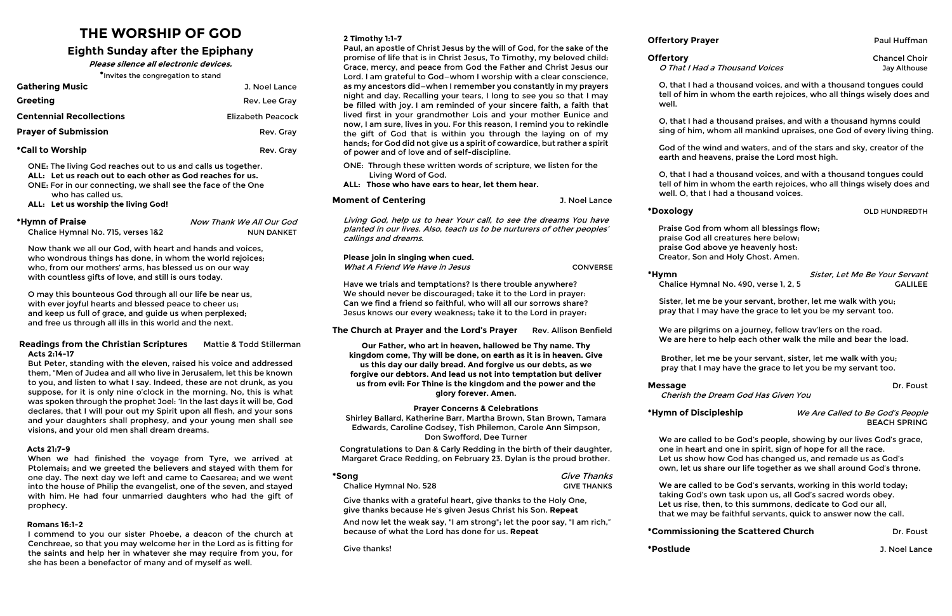# **THE WORSHIP OF GOD**

## **Eighth Sunday after the Epiphany**

**Please silence all electronic devices.**

\*Invites the congregation to stand

| <b>Gathering Music</b>          | J. Noel Lance     |
|---------------------------------|-------------------|
| <b>Greeting</b>                 | Rev. Lee Gray     |
| <b>Centennial Recollections</b> | Elizabeth Peacock |
| <b>Prayer of Submission</b>     | Rev. Gray         |
| *Call to Worship                | Rev. Gray         |

ONE: The living God reaches out to us and calls us together.

- **ALL: Let us reach out to each other as God reaches for us.**
- ONE: For in our connecting, we shall see the face of the One who has called us.

**ALL: Let us worship the living God!**

## \*Hymn of Praise **Now Thank We All Our God**

Chalice Hymnal No. 715, verses 1&2 NUN DANKET

## **Readings from the Christian Scriptures** Mattie & Todd Stillerman **Acts 2:14-17**

Now thank we all our God, with heart and hands and voices, who wondrous things has done, in whom the world rejoices; who, from our mothers' arms, has blessed us on our way with countless gifts of love, and still is ours today.

O may this bounteous God through all our life be near us, with ever joyful hearts and blessed peace to cheer us; and keep us full of grace, and guide us when perplexed; and free us through all ills in this world and the next.

But Peter, standing with the eleven, raised his voice and addressed them, "Men of Judea and all who live in Jerusalem, let this be known to you, and listen to what I say. Indeed, these are not drunk, as you suppose, for it is only nine o'clock in the morning. No, this is what was spoken through the prophet Joel: 'In the last days it will be, God declares, that I will pour out my Spirit upon all flesh, and your sons and your daughters shall prophesy, and your young men shall see visions, and your old men shall dream dreams.

## **Acts 21:7-9**

When we had finished the voyage from Tyre, we arrived at Ptolemais; and we greeted the believers and stayed with them for one day. The next day we left and came to Caesarea; and we went into the house of Philip the evangelist, one of the seven, and stayed with him. He had four unmarried daughters who had the gift of prophecy.

## **Romans 16:1-2**

I commend to you our sister Phoebe, a deacon of the church at Cenchreae, so that you may welcome her in the Lord as is fitting for the saints and help her in whatever she may require from you, for she has been a benefactor of many and of myself as well.

## **\*Song** Give Thanks Chalice Hymnal No. 528 **CHALL CONSTRANTS GIVE THANKS**

## **2 Timothy 1:1-7**

Paul, an apostle of Christ Jesus by the will of God, for the sake of the promise of life that is in Christ Jesus, To Timothy, my beloved child: Grace, mercy, and peace from God the Father and Christ Jesus our Lord. I am grateful to God—whom I worship with a clear conscience, as my ancestors did—when I remember you constantly in my prayers night and day. Recalling your tears, I long to see you so that I may be filled with joy. I am reminded of your sincere faith, a faith that lived first in your grandmother Lois and your mother Eunice and now, I am sure, lives in you. For this reason, I remind you to rekindle the gift of God that is within you through the laying on of my hands; for God did not give us a spirit of cowardice, but rather a spirit of power and of love and of self-discipline.

ONE: Through these written words of scripture, we listen for the Living Word of God.

**ALL: Those who have ears to hear, let them hear.** 

**Moment of Centering Moment of Centering**  $\qquad \qquad$  **J. Noel Lance** 

Living God, help us to hear Your call, to see the dreams You have planted in our lives. Also, teach us to be nurturers of other peoples'

What A Friend We Have in Jesus CONVERSE

callings and dreams.

**Please join in singing when cued.**

Have we trials and temptations? Is there trouble anywhere? We should never be discouraged; take it to the Lord in prayer: Can we find a friend so faithful, who will all our sorrows share? Jesus knows our every weakness; take it to the Lord in prayer:

**The Church at Prayer and the Lord's Prayer** Rev. Allison Benfield

**Our Father, who art in heaven, hallowed be Thy name. Thy kingdom come, Thy will be done, on earth as it is in heaven. Give us this day our daily bread. And forgive us our debts, as we forgive our debtors. And lead us not into temptation but deliver us from evil: For Thine is the kingdom and the power and the glory forever. Amen. Prayer Concerns & Celebrations** Shirley Ballard, Katherine Barr, Martha Brown, Stan Brown, Tamara Edwards, Caroline Godsey, Tish Philemon, Carole Ann Simpson, Don Swofford, Dee Turner Congratulations to Dan & Carly Redding in the birth of their daughter, Margaret Grace Redding, on February 23. Dylan is the proud brother.

Give thanks with a grateful heart, give thanks to the Holy One, give thanks because He's given Jesus Christ his Son. **Repeat**

And now let the weak say, "I am strong"; let the poor say, "I am rich," because of what the Lord has done for us. **Repeat** 

Give thanks!

**Offertory Prayer Prayer 2008 Paul Huffman** 

**Offertory** Chancel Choir

O, that I had a thousand voices, and with a thousand tongues could tell of him in whom the earth rejoices, who all things wisely does and

well.

O, that I had a thousand praises, and with a thousand hymns could sing of him, whom all mankind upraises, one God of every living thing.

God of the wind and waters, and of the stars and sky, creator of the earth and heavens, praise the Lord most high.

O, that I had a thousand voices, and with a thousand tongues could tell of him in whom the earth rejoices, who all things wisely does and well. O, that I had a thousand voices.

**\*Doxology** OLD HUNDREDTH

\*Hymn **\*Hymn** Sister, Let Me Be Your Servant Chalice Hymnal No. 490, verse 1, 2, 5 GALILEE

 Praise God from whom all blessings flow; praise God all creatures here below; praise God above ye heavenly host: Creator, Son and Holy Ghost. Amen.

Sister, let me be your servant, brother, let me walk with you; pray that I may have the grace to let you be my servant too.

We are pilgrims on a journey, fellow trav'lers on the road. We are here to help each other walk the mile and bear the load.

**Message Dr. Foust Allen Street Except Allen Street Except Allen Street Allen Street Allen Street Allen Street Allen Street Allen Street Allen Street Allen Street Allen Street Allen Street Allen Street Allen Street Allen S** 

Brother, let me be your servant, sister, let me walk with you; pray that I may have the grace to let you be my servant too.

Cherish the Dream God Has Given You

**\*Hymn of Discipleship** We Are Called to Be God's People BEACH SPRING

## **\*Commissioning the Scattered Church Transform Construction Construction Construction Construction Construction**

O That I Had a Thousand Voices and the State May Althouse

We are called to be God's people, showing by our lives God's grace, one in heart and one in spirit, sign of hope for all the race. Let us show how God has changed us, and remade us as God's own, let us share our life together as we shall around God's throne.

We are called to be God's servants, working in this world today; taking God's own task upon us, all God's sacred words obey. Let us rise, then, to this summons, dedicate to God our all, that we may be faithful servants, quick to answer now the call.

**\*Postlude** J. Noel Lance